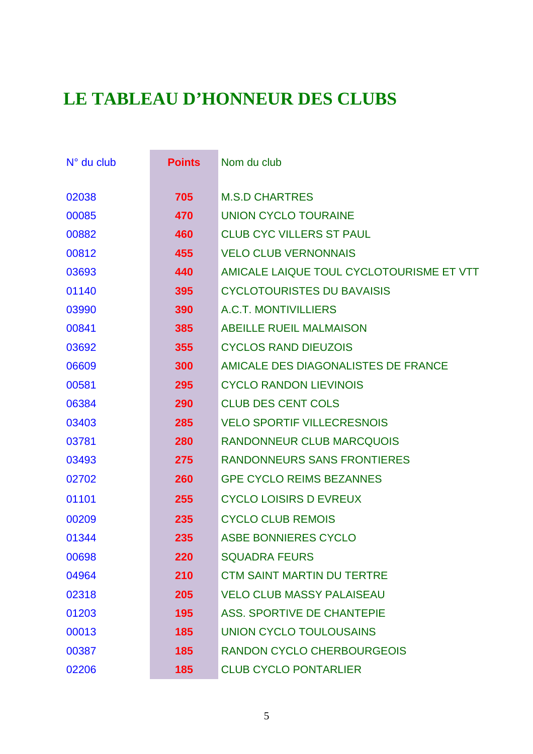## **LE TABLEAU D'HONNEUR DES CLUBS**

| $N°$ du club | <b>Points</b> | Nom du club                              |
|--------------|---------------|------------------------------------------|
| 02038        | 705           | <b>M.S.D CHARTRES</b>                    |
| 00085        | 470           | <b>UNION CYCLO TOURAINE</b>              |
| 00882        | 460           | <b>CLUB CYC VILLERS ST PAUL</b>          |
| 00812        | 455           | <b>VELO CLUB VERNONNAIS</b>              |
| 03693        | 440           | AMICALE LAIQUE TOUL CYCLOTOURISME ET VTT |
| 01140        | 395           | <b>CYCLOTOURISTES DU BAVAISIS</b>        |
| 03990        | 390           | A.C.T. MONTIVILLIERS                     |
| 00841        | 385           | <b>ABEILLE RUEIL MALMAISON</b>           |
| 03692        | 355           | <b>CYCLOS RAND DIEUZOIS</b>              |
| 06609        | 300           | AMICALE DES DIAGONALISTES DE FRANCE      |
| 00581        | 295           | <b>CYCLO RANDON LIEVINOIS</b>            |
| 06384        | 290           | <b>CLUB DES CENT COLS</b>                |
| 03403        | 285           | <b>VELO SPORTIF VILLECRESNOIS</b>        |
| 03781        | 280           | <b>RANDONNEUR CLUB MARCQUOIS</b>         |
| 03493        | 275           | <b>RANDONNEURS SANS FRONTIERES</b>       |
| 02702        | 260           | <b>GPE CYCLO REIMS BEZANNES</b>          |
| 01101        | 255           | <b>CYCLO LOISIRS D EVREUX</b>            |
| 00209        | 235           | <b>CYCLO CLUB REMOIS</b>                 |
| 01344        | 235           | <b>ASBE BONNIERES CYCLO</b>              |
| 00698        | 220           | <b>SQUADRA FEURS</b>                     |
| 04964        | 210           | <b>CTM SAINT MARTIN DU TERTRE</b>        |
| 02318        | 205           | <b>VELO CLUB MASSY PALAISEAU</b>         |
| 01203        | 195           | <b>ASS. SPORTIVE DE CHANTEPIE</b>        |
| 00013        | 185           | <b>UNION CYCLO TOULOUSAINS</b>           |
| 00387        | 185           | <b>RANDON CYCLO CHERBOURGEOIS</b>        |
| 02206        | 185           | <b>CLUB CYCLO PONTARLIER</b>             |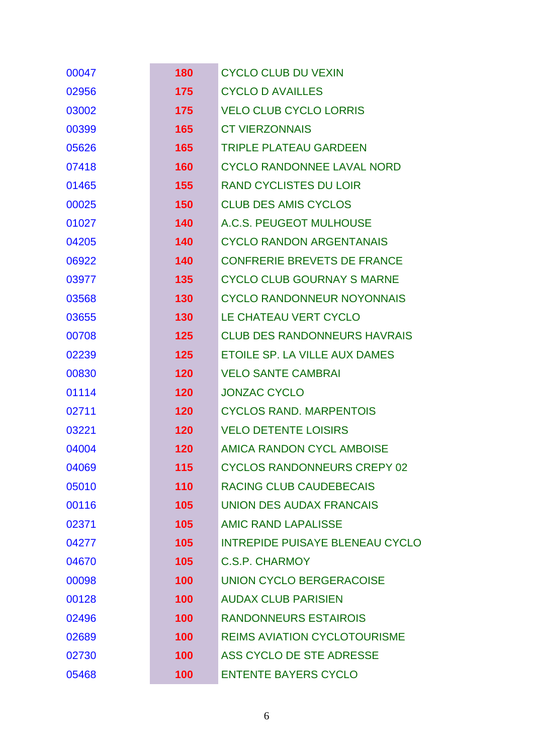| 00047 | 180 | <b>CYCLO CLUB DU VEXIN</b>             |
|-------|-----|----------------------------------------|
| 02956 | 175 | <b>CYCLO D AVAILLES</b>                |
| 03002 | 175 | <b>VELO CLUB CYCLO LORRIS</b>          |
| 00399 | 165 | <b>CT VIERZONNAIS</b>                  |
| 05626 | 165 | <b>TRIPLE PLATEAU GARDEEN</b>          |
| 07418 | 160 | <b>CYCLO RANDONNEE LAVAL NORD</b>      |
| 01465 | 155 | <b>RAND CYCLISTES DU LOIR</b>          |
| 00025 | 150 | <b>CLUB DES AMIS CYCLOS</b>            |
| 01027 | 140 | A.C.S. PEUGEOT MULHOUSE                |
| 04205 | 140 | <b>CYCLO RANDON ARGENTANAIS</b>        |
| 06922 | 140 | <b>CONFRERIE BREVETS DE FRANCE</b>     |
| 03977 | 135 | <b>CYCLO CLUB GOURNAY S MARNE</b>      |
| 03568 | 130 | <b>CYCLO RANDONNEUR NOYONNAIS</b>      |
| 03655 | 130 | LE CHATEAU VERT CYCLO                  |
| 00708 | 125 | <b>CLUB DES RANDONNEURS HAVRAIS</b>    |
| 02239 | 125 | ETOILE SP. LA VILLE AUX DAMES          |
| 00830 | 120 | <b>VELO SANTE CAMBRAI</b>              |
| 01114 | 120 | <b>JONZAC CYCLO</b>                    |
| 02711 | 120 | <b>CYCLOS RAND. MARPENTOIS</b>         |
| 03221 | 120 | <b>VELO DETENTE LOISIRS</b>            |
| 04004 | 120 | <b>AMICA RANDON CYCL AMBOISE</b>       |
| 04069 | 115 | <b>CYCLOS RANDONNEURS CREPY 02</b>     |
| 05010 | 110 | <b>RACING CLUB CAUDEBECAIS</b>         |
| 00116 | 105 | <b>UNION DES AUDAX FRANCAIS</b>        |
| 02371 | 105 | <b>AMIC RAND LAPALISSE</b>             |
| 04277 | 105 | <b>INTREPIDE PUISAYE BLENEAU CYCLO</b> |
| 04670 | 105 | C.S.P. CHARMOY                         |
| 00098 | 100 | <b>UNION CYCLO BERGERACOISE</b>        |
| 00128 | 100 | <b>AUDAX CLUB PARISIEN</b>             |
| 02496 | 100 | <b>RANDONNEURS ESTAIROIS</b>           |
| 02689 | 100 | <b>REIMS AVIATION CYCLOTOURISME</b>    |
| 02730 | 100 | ASS CYCLO DE STE ADRESSE               |
| 05468 | 100 | <b>ENTENTE BAYERS CYCLO</b>            |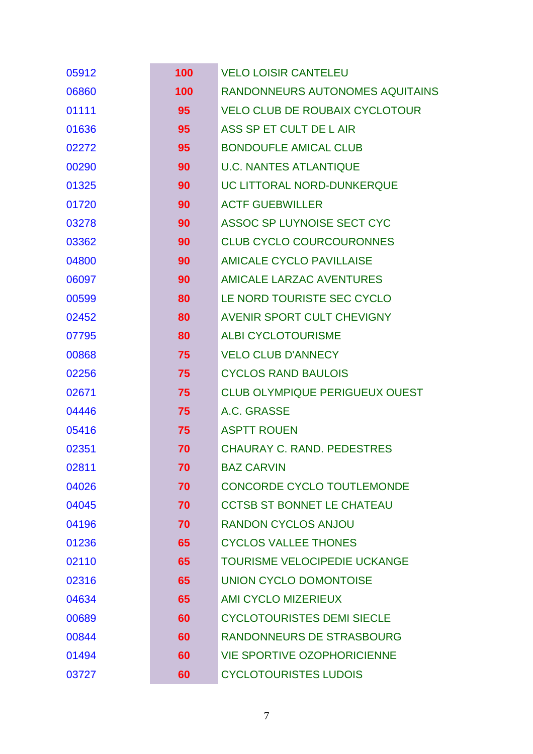| 05912 | 100 | <b>VELO LOISIR CANTELEU</b>           |
|-------|-----|---------------------------------------|
| 06860 | 100 | RANDONNEURS AUTONOMES AQUITAINS       |
| 01111 | 95  | <b>VELO CLUB DE ROUBAIX CYCLOTOUR</b> |
| 01636 | 95  | ASS SP ET CULT DE L AIR               |
| 02272 | 95  | <b>BONDOUFLE AMICAL CLUB</b>          |
| 00290 | 90  | <b>U.C. NANTES ATLANTIQUE</b>         |
| 01325 | 90  | UC LITTORAL NORD-DUNKERQUE            |
| 01720 | 90  | <b>ACTF GUEBWILLER</b>                |
| 03278 | 90  | ASSOC SP LUYNOISE SECT CYC            |
| 03362 | 90  | <b>CLUB CYCLO COURCOURONNES</b>       |
| 04800 | 90  | <b>AMICALE CYCLO PAVILLAISE</b>       |
| 06097 | 90  | AMICALE LARZAC AVENTURES              |
| 00599 | 80  | LE NORD TOURISTE SEC CYCLO            |
| 02452 | 80  | AVENIR SPORT CULT CHEVIGNY            |
| 07795 | 80  | <b>ALBI CYCLOTOURISME</b>             |
| 00868 | 75  | <b>VELO CLUB D'ANNECY</b>             |
| 02256 | 75  | <b>CYCLOS RAND BAULOIS</b>            |
| 02671 | 75  | <b>CLUB OLYMPIQUE PERIGUEUX OUEST</b> |
| 04446 | 75  | A.C. GRASSE                           |
| 05416 | 75  | <b>ASPTT ROUEN</b>                    |
| 02351 | 70  | <b>CHAURAY C. RAND. PEDESTRES</b>     |
| 02811 | 70  | <b>BAZ CARVIN</b>                     |
| 04026 | 70  | <b>CONCORDE CYCLO TOUTLEMONDE</b>     |
| 04045 | 70  | <b>CCTSB ST BONNET LE CHATEAU</b>     |
| 04196 | 70  | <b>RANDON CYCLOS ANJOU</b>            |
| 01236 | 65  | <b>CYCLOS VALLEE THONES</b>           |
| 02110 | 65  | TOURISME VELOCIPEDIE UCKANGE          |
| 02316 | 65  | <b>UNION CYCLO DOMONTOISE</b>         |
| 04634 | 65  | <b>AMI CYCLO MIZERIEUX</b>            |
| 00689 | 60  | <b>CYCLOTOURISTES DEMI SIECLE</b>     |
| 00844 | 60  | RANDONNEURS DE STRASBOURG             |
| 01494 | 60  | <b>VIE SPORTIVE OZOPHORICIENNE</b>    |
| 03727 | 60  | <b>CYCLOTOURISTES LUDOIS</b>          |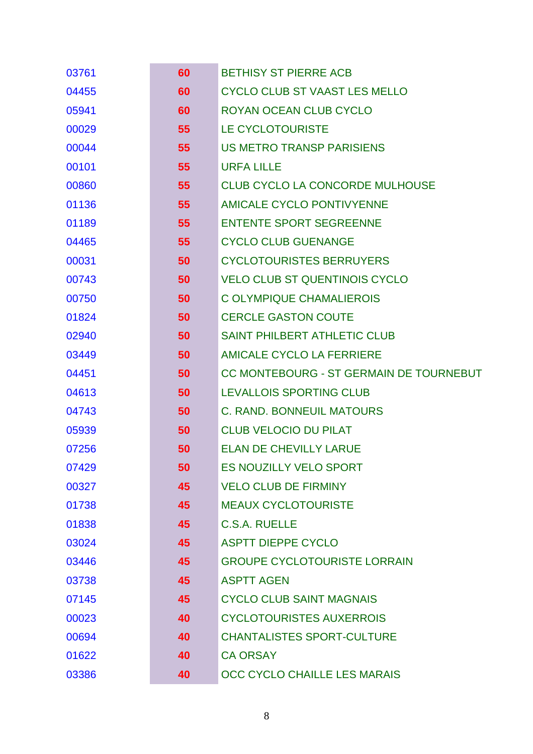| 03761 | 60 | <b>BETHISY ST PIERRE ACB</b>            |
|-------|----|-----------------------------------------|
| 04455 | 60 | <b>CYCLO CLUB ST VAAST LES MELLO</b>    |
| 05941 | 60 | <b>ROYAN OCEAN CLUB CYCLO</b>           |
| 00029 | 55 | LE CYCLOTOURISTE                        |
| 00044 | 55 | <b>US METRO TRANSP PARISIENS</b>        |
| 00101 | 55 | <b>URFA LILLE</b>                       |
| 00860 | 55 | <b>CLUB CYCLO LA CONCORDE MULHOUSE</b>  |
| 01136 | 55 | <b>AMICALE CYCLO PONTIVYENNE</b>        |
| 01189 | 55 | <b>ENTENTE SPORT SEGREENNE</b>          |
| 04465 | 55 | <b>CYCLO CLUB GUENANGE</b>              |
| 00031 | 50 | <b>CYCLOTOURISTES BERRUYERS</b>         |
| 00743 | 50 | <b>VELO CLUB ST QUENTINOIS CYCLO</b>    |
| 00750 | 50 | C OLYMPIQUE CHAMALIEROIS                |
| 01824 | 50 | <b>CERCLE GASTON COUTE</b>              |
| 02940 | 50 | <b>SAINT PHILBERT ATHLETIC CLUB</b>     |
| 03449 | 50 | AMICALE CYCLO LA FERRIERE               |
| 04451 | 50 | CC MONTEBOURG - ST GERMAIN DE TOURNEBUT |
| 04613 | 50 | LEVALLOIS SPORTING CLUB                 |
| 04743 | 50 | <b>C. RAND. BONNEUIL MATOURS</b>        |
| 05939 | 50 | <b>CLUB VELOCIO DU PILAT</b>            |
| 07256 | 50 | <b>ELAN DE CHEVILLY LARUE</b>           |
| 07429 | 50 | <b>ES NOUZILLY VELO SPORT</b>           |
| 00327 | 45 | <b>VELO CLUB DE FIRMINY</b>             |
| 01738 | 45 | <b>MEAUX CYCLOTOURISTE</b>              |
| 01838 | 45 | <b>C.S.A. RUELLE</b>                    |
| 03024 | 45 | <b>ASPTT DIEPPE CYCLO</b>               |
| 03446 | 45 | <b>GROUPE CYCLOTOURISTE LORRAIN</b>     |
| 03738 | 45 | <b>ASPTT AGEN</b>                       |
| 07145 | 45 | <b>CYCLO CLUB SAINT MAGNAIS</b>         |
| 00023 | 40 | <b>CYCLOTOURISTES AUXERROIS</b>         |
| 00694 | 40 | <b>CHANTALISTES SPORT-CULTURE</b>       |
| 01622 | 40 | <b>CA ORSAY</b>                         |
| 03386 | 40 | OCC CYCLO CHAILLE LES MARAIS            |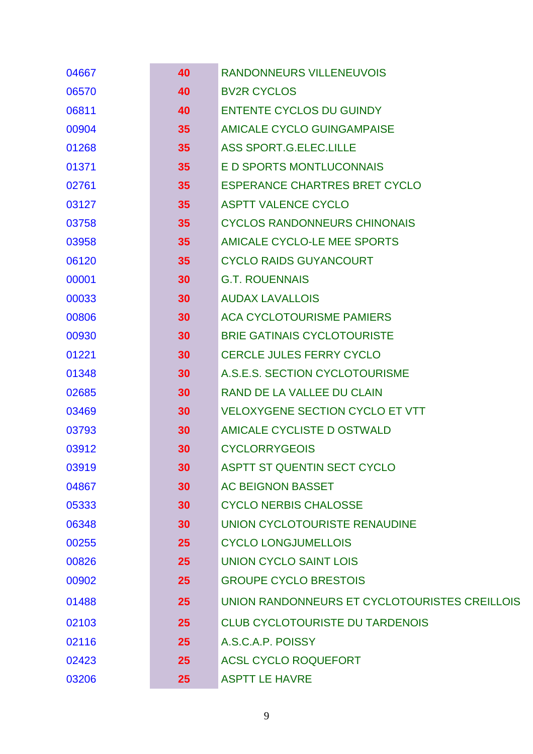| 04667 | 40 | RANDONNEURS VILLENEUVOIS                      |
|-------|----|-----------------------------------------------|
| 06570 | 40 | <b>BV2R CYCLOS</b>                            |
| 06811 | 40 | <b>ENTENTE CYCLOS DU GUINDY</b>               |
| 00904 | 35 | AMICALE CYCLO GUINGAMPAISE                    |
| 01268 | 35 | ASS SPORT.G.ELEC.LILLE                        |
| 01371 | 35 | E D SPORTS MONTLUCONNAIS                      |
| 02761 | 35 | <b>ESPERANCE CHARTRES BRET CYCLO</b>          |
| 03127 | 35 | <b>ASPTT VALENCE CYCLO</b>                    |
| 03758 | 35 | <b>CYCLOS RANDONNEURS CHINONAIS</b>           |
| 03958 | 35 | AMICALE CYCLO-LE MEE SPORTS                   |
| 06120 | 35 | <b>CYCLO RAIDS GUYANCOURT</b>                 |
| 00001 | 30 | <b>G.T. ROUENNAIS</b>                         |
| 00033 | 30 | <b>AUDAX LAVALLOIS</b>                        |
| 00806 | 30 | <b>ACA CYCLOTOURISME PAMIERS</b>              |
| 00930 | 30 | <b>BRIE GATINAIS CYCLOTOURISTE</b>            |
| 01221 | 30 | <b>CERCLE JULES FERRY CYCLO</b>               |
| 01348 | 30 | A.S.E.S. SECTION CYCLOTOURISME                |
| 02685 | 30 | RAND DE LA VALLEE DU CLAIN                    |
| 03469 | 30 | <b>VELOXYGENE SECTION CYCLO ET VTT</b>        |
| 03793 | 30 | AMICALE CYCLISTE D OSTWALD                    |
| 03912 | 30 | <b>CYCLORRYGEOIS</b>                          |
| 03919 | 30 | <b>ASPTT ST QUENTIN SECT CYCLO</b>            |
| 04867 | 30 | <b>AC BEIGNON BASSET</b>                      |
| 05333 | 30 | <b>CYCLO NERBIS CHALOSSE</b>                  |
| 06348 | 30 | UNION CYCLOTOURISTE RENAUDINE                 |
| 00255 | 25 | <b>CYCLO LONGJUMELLOIS</b>                    |
| 00826 | 25 | <b>UNION CYCLO SAINT LOIS</b>                 |
| 00902 | 25 | <b>GROUPE CYCLO BRESTOIS</b>                  |
| 01488 | 25 | UNION RANDONNEURS ET CYCLOTOURISTES CREILLOIS |
| 02103 | 25 | <b>CLUB CYCLOTOURISTE DU TARDENOIS</b>        |
| 02116 | 25 | A.S.C.A.P. POISSY                             |
| 02423 | 25 | <b>ACSL CYCLO ROQUEFORT</b>                   |
| 03206 | 25 | <b>ASPTT LE HAVRE</b>                         |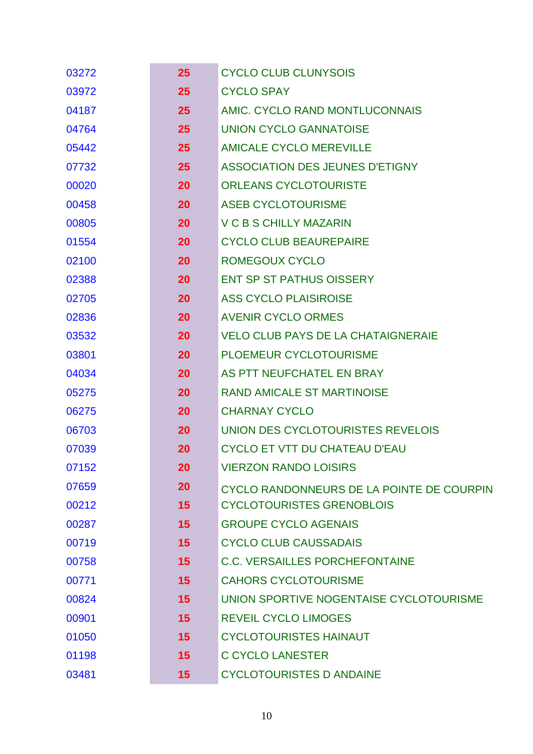| 03272 | 25 | <b>CYCLO CLUB CLUNYSOIS</b>               |
|-------|----|-------------------------------------------|
| 03972 | 25 | <b>CYCLO SPAY</b>                         |
| 04187 | 25 | AMIC. CYCLO RAND MONTLUCONNAIS            |
| 04764 | 25 | <b>UNION CYCLO GANNATOISE</b>             |
| 05442 | 25 | <b>AMICALE CYCLO MEREVILLE</b>            |
| 07732 | 25 | <b>ASSOCIATION DES JEUNES D'ETIGNY</b>    |
| 00020 | 20 | <b>ORLEANS CYCLOTOURISTE</b>              |
| 00458 | 20 | <b>ASEB CYCLOTOURISME</b>                 |
| 00805 | 20 | <b>V C B S CHILLY MAZARIN</b>             |
| 01554 | 20 | <b>CYCLO CLUB BEAUREPAIRE</b>             |
| 02100 | 20 | <b>ROMEGOUX CYCLO</b>                     |
| 02388 | 20 | <b>ENT SP ST PATHUS OISSERY</b>           |
| 02705 | 20 | <b>ASS CYCLO PLAISIROISE</b>              |
| 02836 | 20 | <b>AVENIR CYCLO ORMES</b>                 |
| 03532 | 20 | <b>VELO CLUB PAYS DE LA CHATAIGNERAIE</b> |
| 03801 | 20 | PLOEMEUR CYCLOTOURISME                    |
| 04034 | 20 | AS PTT NEUFCHATEL EN BRAY                 |
| 05275 | 20 | <b>RAND AMICALE ST MARTINOISE</b>         |
| 06275 | 20 | <b>CHARNAY CYCLO</b>                      |
| 06703 | 20 | UNION DES CYCLOTOURISTES REVELOIS         |
| 07039 | 20 | <b>CYCLO ET VTT DU CHATEAU D'EAU</b>      |
| 07152 | 20 | <b>VIERZON RANDO LOISIRS</b>              |
| 07659 | 20 | CYCLO RANDONNEURS DE LA POINTE DE COURPIN |
| 00212 | 15 | <b>CYCLOTOURISTES GRENOBLOIS</b>          |
| 00287 | 15 | <b>GROUPE CYCLO AGENAIS</b>               |
| 00719 | 15 | <b>CYCLO CLUB CAUSSADAIS</b>              |
| 00758 | 15 | <b>C.C. VERSAILLES PORCHEFONTAINE</b>     |
| 00771 | 15 | <b>CAHORS CYCLOTOURISME</b>               |
| 00824 | 15 | UNION SPORTIVE NOGENTAISE CYCLOTOURISME   |
| 00901 | 15 | <b>REVEIL CYCLO LIMOGES</b>               |
| 01050 | 15 | <b>CYCLOTOURISTES HAINAUT</b>             |
| 01198 | 15 | <b>C CYCLO LANESTER</b>                   |
| 03481 | 15 | <b>CYCLOTOURISTES D ANDAINE</b>           |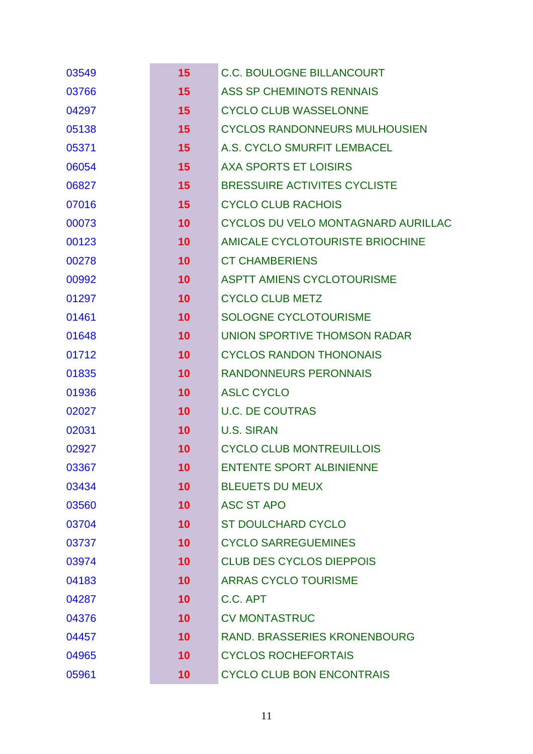| 03549 | 15              | <b>C.C. BOULOGNE BILLANCOURT</b>     |
|-------|-----------------|--------------------------------------|
| 03766 | 15              | ASS SP CHEMINOTS RENNAIS             |
| 04297 | 15              | <b>CYCLO CLUB WASSELONNE</b>         |
| 05138 | 15              | <b>CYCLOS RANDONNEURS MULHOUSIEN</b> |
| 05371 | 15              | A.S. CYCLO SMURFIT LEMBACEL          |
| 06054 | 15              | <b>AXA SPORTS ET LOISIRS</b>         |
| 06827 | 15              | <b>BRESSUIRE ACTIVITES CYCLISTE</b>  |
| 07016 | 15              | <b>CYCLO CLUB RACHOIS</b>            |
| 00073 | 10              | CYCLOS DU VELO MONTAGNARD AURILLAC   |
| 00123 | 10 <sup>°</sup> | AMICALE CYCLOTOURISTE BRIOCHINE      |
| 00278 | 10              | <b>CT CHAMBERIENS</b>                |
| 00992 | 10              | <b>ASPTT AMIENS CYCLOTOURISME</b>    |
| 01297 | 10              | <b>CYCLO CLUB METZ</b>               |
| 01461 | 10 <sup>°</sup> | <b>SOLOGNE CYCLOTOURISME</b>         |
| 01648 | 10              | UNION SPORTIVE THOMSON RADAR         |
| 01712 | 10              | <b>CYCLOS RANDON THONONAIS</b>       |
| 01835 | 10              | <b>RANDONNEURS PERONNAIS</b>         |
| 01936 | 10 <sup>°</sup> | <b>ASLC CYCLO</b>                    |
| 02027 | 10              | <b>U.C. DE COUTRAS</b>               |
| 02031 | 10 <sup>°</sup> | <b>U.S. SIRAN</b>                    |
| 02927 | 10              | <b>CYCLO CLUB MONTREUILLOIS</b>      |
| 03367 | 10              | <b>ENTENTE SPORT ALBINIENNE</b>      |
| 03434 | 10 <sup>°</sup> | <b>BLEUETS DU MEUX</b>               |
| 03560 | 10 <sup>°</sup> | <b>ASC ST APO</b>                    |
| 03704 | 10 <sup>°</sup> | <b>ST DOULCHARD CYCLO</b>            |
| 03737 | 10              | <b>CYCLO SARREGUEMINES</b>           |
| 03974 | 10 <sup>°</sup> | <b>CLUB DES CYCLOS DIEPPOIS</b>      |
| 04183 | 10 <sup>°</sup> | <b>ARRAS CYCLO TOURISME</b>          |
| 04287 | 10 <sup>°</sup> | C.C. APT                             |
| 04376 | 10 <sup>°</sup> | <b>CV MONTASTRUC</b>                 |
| 04457 | 10 <sup>1</sup> | <b>RAND. BRASSERIES KRONENBOURG</b>  |
| 04965 | 10 <sup>°</sup> | <b>CYCLOS ROCHEFORTAIS</b>           |
| 05961 | 10 <sub>1</sub> | <b>CYCLO CLUB BON ENCONTRAIS</b>     |